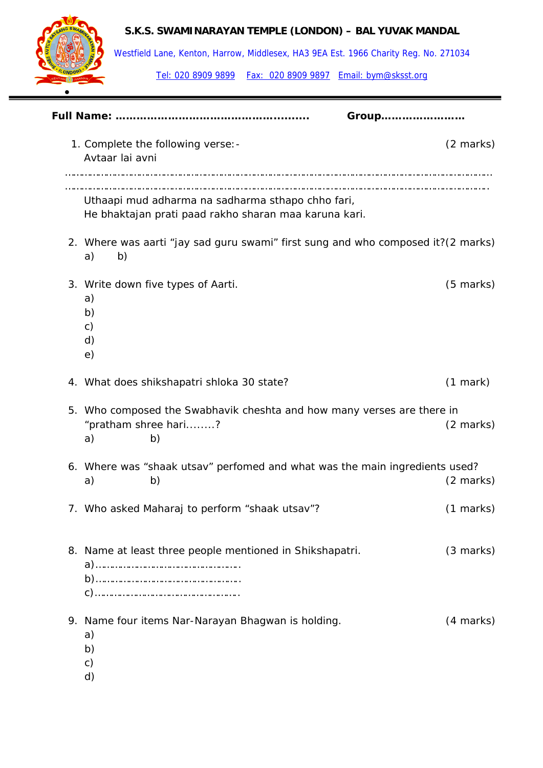

Westfield Lane, Kenton, Harrow, Middlesex, HA3 9EA Est. 1966 Charity Reg. No. 271034

|  | Group                                                                                                      |                     |
|--|------------------------------------------------------------------------------------------------------------|---------------------|
|  | 1. Complete the following verse: -<br>Avtaar lai avni                                                      | $(2 \text{ marks})$ |
|  | Uthaapi mud adharma na sadharma sthapo chho fari,<br>He bhaktajan prati paad rakho sharan maa karuna kari. |                     |
|  | 2. Where was aarti "jay sad guru swami" first sung and who composed it?(2 marks)<br>b)<br>a)               |                     |
|  | 3. Write down five types of Aarti.<br>a)<br>b)<br>$\mathsf{C}$<br>d)<br>e)                                 | $(5 \text{ marks})$ |
|  | 4. What does shikshapatri shloka 30 state?                                                                 | (1 mark)            |
|  | 5. Who composed the Swabhavik cheshta and how many verses are there in<br>"pratham shree hari?<br>b)<br>a) | (2 marks)           |
|  | 6. Where was "shaak utsav" perfomed and what was the main ingredients used?<br>a)<br>b)                    | $(2 \text{ marks})$ |
|  | 7. Who asked Maharaj to perform "shaak utsav"?                                                             | $(1 \text{ marks})$ |
|  | 8. Name at least three people mentioned in Shikshapatri.                                                   | $(3 \text{ marks})$ |
|  | 9. Name four items Nar-Narayan Bhagwan is holding.<br>a)<br>b)<br>c)<br>d)                                 | (4 marks)           |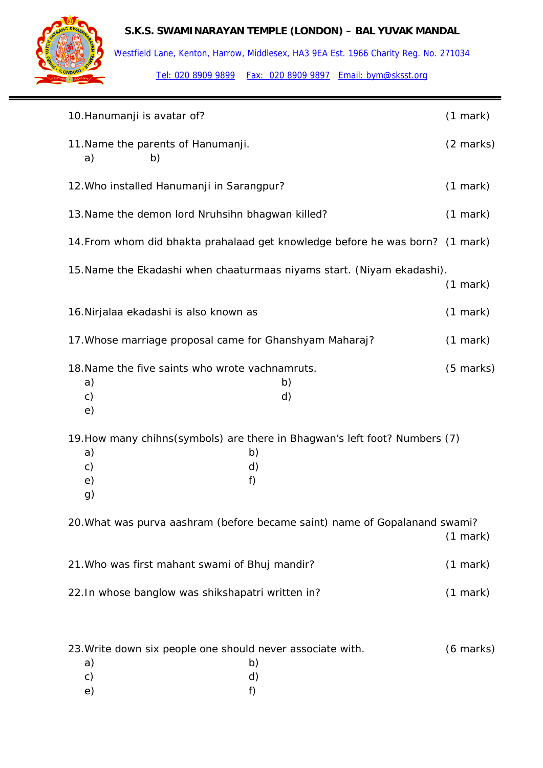

Westfield Lane, Kenton, Harrow, Middlesex, HA3 9EA Est. 1966 Charity Reg. No. 271034

| 10. Hanumanji is avatar of?                                                  |                                                                                               |                     |  |
|------------------------------------------------------------------------------|-----------------------------------------------------------------------------------------------|---------------------|--|
| 11. Name the parents of Hanumanji.<br>b)<br>a)                               |                                                                                               | (2 marks)           |  |
| 12. Who installed Hanumanji in Sarangpur?                                    |                                                                                               | $(1$ mark $)$       |  |
| 13. Name the demon lord Nruhsihn bhagwan killed?                             |                                                                                               | (1 mark)            |  |
|                                                                              | 14. From whom did bhakta prahalaad get knowledge before he was born? (1 mark)                 |                     |  |
|                                                                              | 15. Name the Ekadashi when chaaturmaas niyams start. (Niyam ekadashi).                        | $(1$ mark)          |  |
| 16. Nirjalaa ekadashi is also known as                                       |                                                                                               | $(1$ mark)          |  |
| 17. Whose marriage proposal came for Ghanshyam Maharaj?                      |                                                                                               | $(1$ mark)          |  |
| 18. Name the five saints who wrote vachnamruts.<br>a)<br>$\mathsf{c})$<br>e) | b)<br>d)                                                                                      | $(5 \text{ marks})$ |  |
| a)<br>c)<br>e)<br>g)                                                         | 19. How many chihns (symbols) are there in Bhagwan's left foot? Numbers (7)<br>b)<br>d)<br>f) |                     |  |
|                                                                              | 20. What was purva aashram (before became saint) name of Gopalanand swami?                    | $(1$ mark)          |  |
| 21. Who was first mahant swami of Bhuj mandir?                               |                                                                                               | $(1$ mark)          |  |
| 22. In whose banglow was shikshapatri written in?                            |                                                                                               | (1 mark)            |  |
|                                                                              |                                                                                               |                     |  |
| 23. Write down six people one should never associate with.                   |                                                                                               | $(6 \text{ marks})$ |  |

|               |  | . | $\sim$<br>__ | . . |    |
|---------------|--|---|--------------|-----|----|
| a)            |  |   |              |     | b) |
| $\mathsf{c})$ |  |   |              |     | d) |
| e)            |  |   |              |     | f) |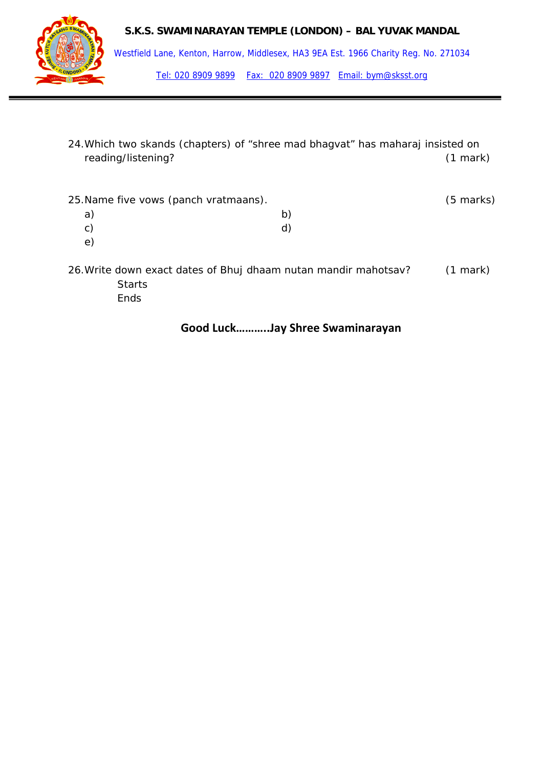



Westfield Lane, Kenton, Harrow, Middlesex, HA3 9EA Est. 1966 Charity Reg. No. 271034 Tel: 020 8909 9899 Fax: 020 8909 9897 Email: bym@sksst.org

24.Which two skands (chapters) of "shree mad bhagvat" has maharaj insisted on reading/listening? (1 mark)

| 25. Name five vows (panch vratmaans). | (5 marks) |
|---------------------------------------|-----------|
| a                                     |           |
| C)                                    |           |
| е                                     |           |

- 
- 26.Write down exact dates of Bhuj dhaam nutan mandir mahotsav? (1 mark) **Starts** 
	- Ends

# **Good Luck………..Jay Shree Swaminarayan**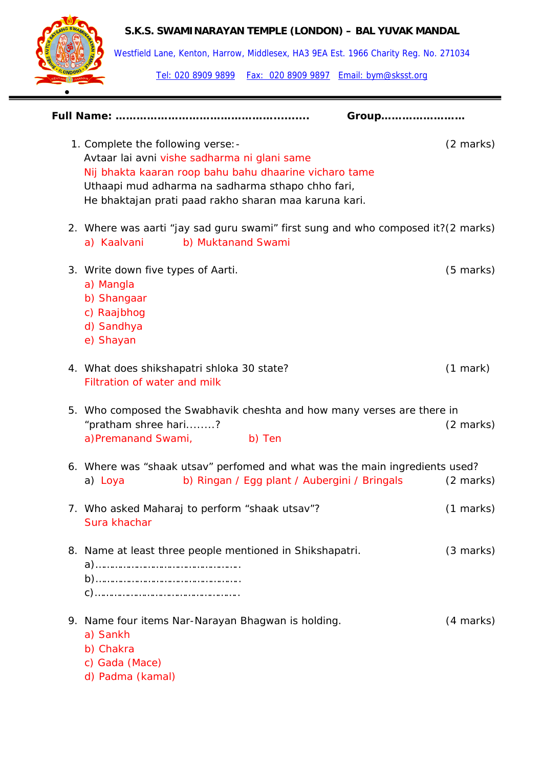

Westfield Lane, Kenton, Harrow, Middlesex, HA3 9EA Est. 1966 Charity Reg. No. 271034

| Group                                                                                                                                                                                                                                                      |                     |
|------------------------------------------------------------------------------------------------------------------------------------------------------------------------------------------------------------------------------------------------------------|---------------------|
| 1. Complete the following verse: -<br>Avtaar lai avni vishe sadharma ni glani same<br>Nij bhakta kaaran roop bahu bahu dhaarine vicharo tame<br>Uthaapi mud adharma na sadharma sthapo chho fari,<br>He bhaktajan prati paad rakho sharan maa karuna kari. | $(2 \text{ marks})$ |
| 2. Where was aarti "jay sad guru swami" first sung and who composed it?(2 marks)<br>a) Kaalvani b) Muktanand Swami                                                                                                                                         |                     |
| 3. Write down five types of Aarti.<br>a) Mangla<br>b) Shangaar<br>c) Raajbhog<br>d) Sandhya<br>e) Shayan                                                                                                                                                   | $(5 \text{ marks})$ |
| 4. What does shikshapatri shloka 30 state?<br>Filtration of water and milk                                                                                                                                                                                 | $(1$ mark $)$       |
| 5. Who composed the Swabhavik cheshta and how many verses are there in<br>"pratham shree hari?<br>a)Premanand Swami, b) Ten                                                                                                                                | $(2 \text{ marks})$ |
| 6. Where was "shaak utsav" perfomed and what was the main ingredients used?<br>b) Ringan / Egg plant / Aubergini / Bringals<br>a) Loya                                                                                                                     | $(2 \text{ marks})$ |
| 7. Who asked Maharaj to perform "shaak utsav"?<br>Sura khachar                                                                                                                                                                                             | $(1 \text{ marks})$ |
| 8. Name at least three people mentioned in Shikshapatri.                                                                                                                                                                                                   | $(3 \text{ marks})$ |
| 9. Name four items Nar-Narayan Bhagwan is holding.<br>a) Sankh<br>b) Chakra<br>c) Gada (Mace)<br>d) Padma (kamal)                                                                                                                                          | (4 marks)           |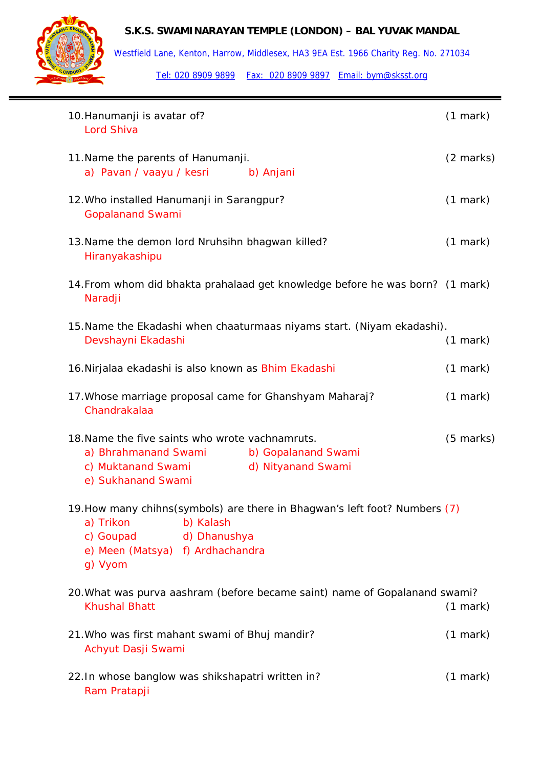

Westfield Lane, Kenton, Harrow, Middlesex, HA3 9EA Est. 1966 Charity Reg. No. 271034

| 10. Hanumanji is avatar of?<br>Lord Shiva                                                                                                                                         | (1 mark)            |
|-----------------------------------------------------------------------------------------------------------------------------------------------------------------------------------|---------------------|
| 11. Name the parents of Hanumanji.<br>a) Pavan / vaayu / kesri<br>b) Anjani                                                                                                       | $(2 \text{ marks})$ |
| 12. Who installed Hanumanji in Sarangpur?<br><b>Gopalanand Swami</b>                                                                                                              | $(1$ mark $)$       |
| 13. Name the demon lord Nruhsihn bhagwan killed?<br>Hiranyakashipu                                                                                                                | $(1$ mark)          |
| 14. From whom did bhakta prahalaad get knowledge before he was born? (1 mark)<br>Naradji                                                                                          |                     |
| 15. Name the Ekadashi when chaaturmaas niyams start. (Niyam ekadashi).<br>Devshayni Ekadashi                                                                                      | (1 mark)            |
| 16. Nirjalaa ekadashi is also known as Bhim Ekadashi                                                                                                                              | $(1$ mark)          |
| 17. Whose marriage proposal came for Ghanshyam Maharaj?<br>Chandrakalaa                                                                                                           | $(1$ mark)          |
| 18. Name the five saints who wrote vachnamruts.<br>a) Bhrahmanand Swami<br>b) Gopalanand Swami<br>c) Muktanand Swami<br>d) Nityanand Swami<br>e) Sukhanand Swami                  | $(5$ marks)         |
| 19. How many chihns (symbols) are there in Bhagwan's left foot? Numbers (7)<br>a) Trikon<br>b) Kalash<br>d) Dhanushya<br>c) Goupad<br>e) Meen (Matsya) f) Ardhachandra<br>g) Vyom |                     |
| 20. What was purva aashram (before became saint) name of Gopalanand swami?<br><b>Khushal Bhatt</b>                                                                                | (1 mark)            |
| 21. Who was first mahant swami of Bhuj mandir?<br>Achyut Dasji Swami                                                                                                              | $(1$ mark $)$       |
| 22. In whose banglow was shikshapatri written in?<br>Ram Pratapji                                                                                                                 | (1 mark)            |